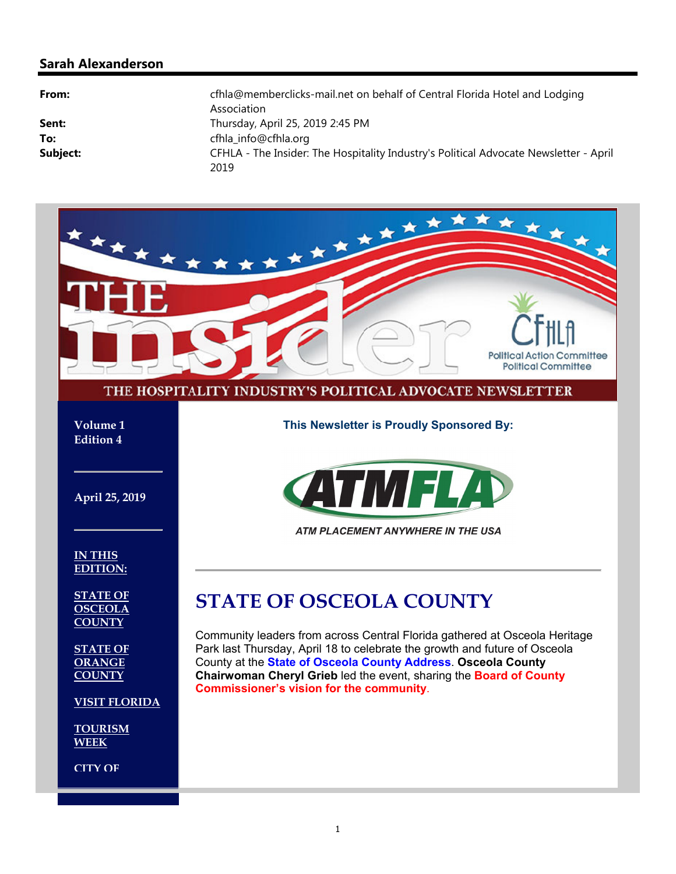### **Sarah Alexanderson**

| From:    | cfhla@memberclicks-mail.net on behalf of Central Florida Hotel and Lodging<br>Association     |
|----------|-----------------------------------------------------------------------------------------------|
| Sent:    | Thursday, April 25, 2019 2:45 PM                                                              |
| To:      | cfhla info@cfhla.org                                                                          |
| Subject: | CFHLA - The Insider: The Hospitality Industry's Political Advocate Newsletter - April<br>2019 |

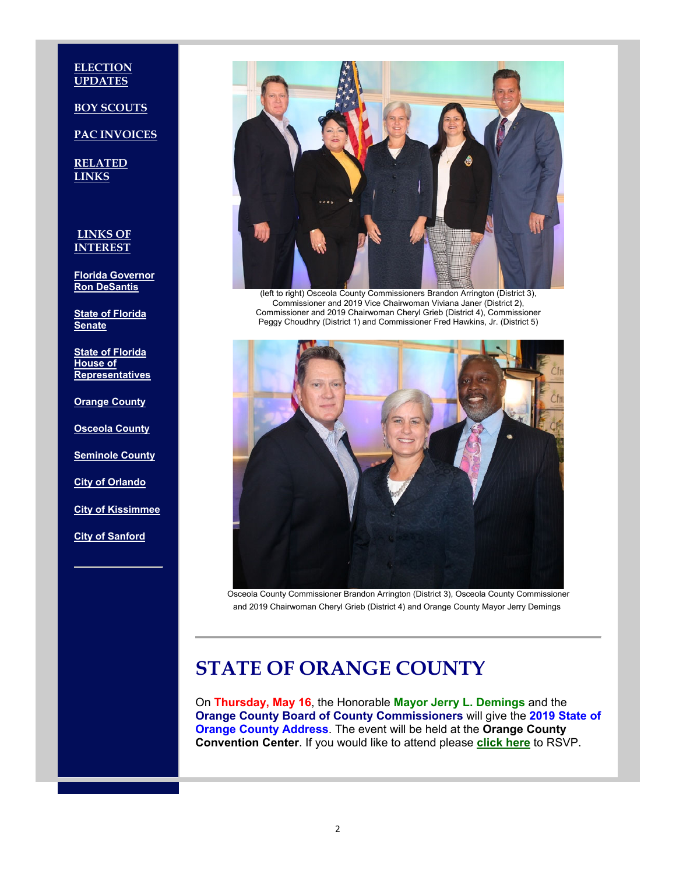**ELECTION UPDATES** 

**BOY SCOUTS** 

**PAC INVOICES**

**RELATED LINKS**

**LINKS OF INTEREST**

**Florida Governor Ron DeSantis**

**State of Florida Senate**

**State of Florida House of Representatives**

**Orange County**

**Osceola County**

**Seminole County**

**City of Orlando**

**City of Kissimmee**

**City of Sanford**



(left to right) Osceola County Commissioners Brandon Arrington (District 3), Commissioner and 2019 Vice Chairwoman Viviana Janer (District 2), Commissioner and 2019 Chairwoman Cheryl Grieb (District 4), Commissioner Peggy Choudhry (District 1) and Commissioner Fred Hawkins, Jr. (District 5)



Osceola County Commissioner Brandon Arrington (District 3), Osceola County Commissioner and 2019 Chairwoman Cheryl Grieb (District 4) and Orange County Mayor Jerry Demings

## **STATE OF ORANGE COUNTY**

On **Thursday, May 16**, the Honorable **Mayor Jerry L. Demings** and the **Orange County Board of County Commissioners** will give the **2019 State of Orange County Address**. The event will be held at the **Orange County Convention Center**. If you would like to attend please **click here** to RSVP.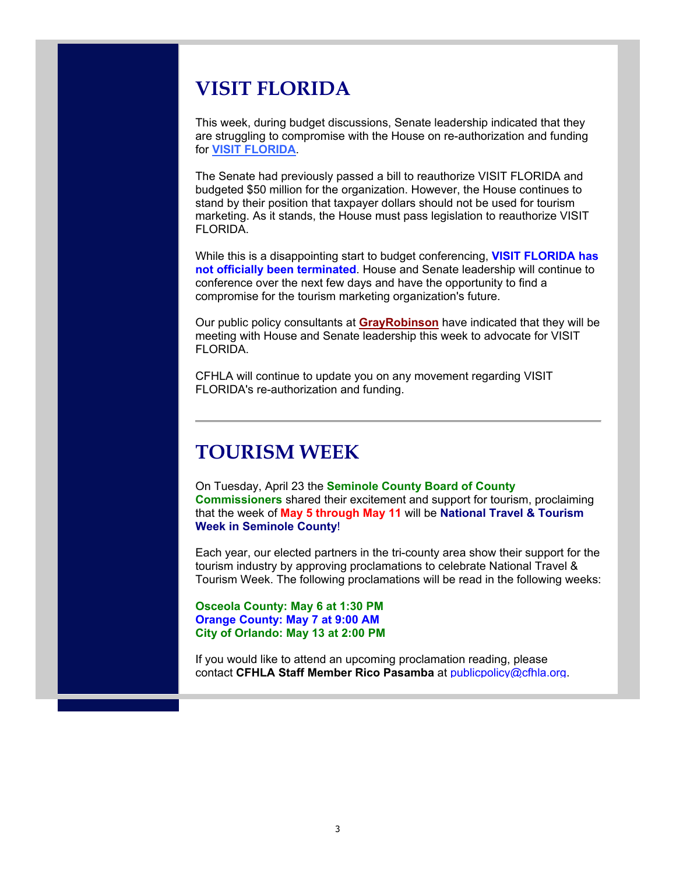## **VISIT FLORIDA**

This week, during budget discussions, Senate leadership indicated that they are struggling to compromise with the House on re-authorization and funding for **VISIT FLORIDA**.

The Senate had previously passed a bill to reauthorize VISIT FLORIDA and budgeted \$50 million for the organization. However, the House continues to stand by their position that taxpayer dollars should not be used for tourism marketing. As it stands, the House must pass legislation to reauthorize VISIT FLORIDA.

While this is a disappointing start to budget conferencing, **VISIT FLORIDA has not officially been terminated**. House and Senate leadership will continue to conference over the next few days and have the opportunity to find a compromise for the tourism marketing organization's future.

Our public policy consultants at **GrayRobinson** have indicated that they will be meeting with House and Senate leadership this week to advocate for VISIT FLORIDA.

CFHLA will continue to update you on any movement regarding VISIT FLORIDA's re-authorization and funding.

## **TOURISM WEEK**

On Tuesday, April 23 the **Seminole County Board of County Commissioners** shared their excitement and support for tourism, proclaiming that the week of **May 5 through May 11** will be **National Travel & Tourism Week in Seminole County**!

Each year, our elected partners in the tri-county area show their support for the tourism industry by approving proclamations to celebrate National Travel & Tourism Week. The following proclamations will be read in the following weeks:

#### **Osceola County: May 6 at 1:30 PM Orange County: May 7 at 9:00 AM City of Orlando: May 13 at 2:00 PM**

If you would like to attend an upcoming proclamation reading, please contact **CFHLA Staff Member Rico Pasamba** at publicpolicy@cfhla.org.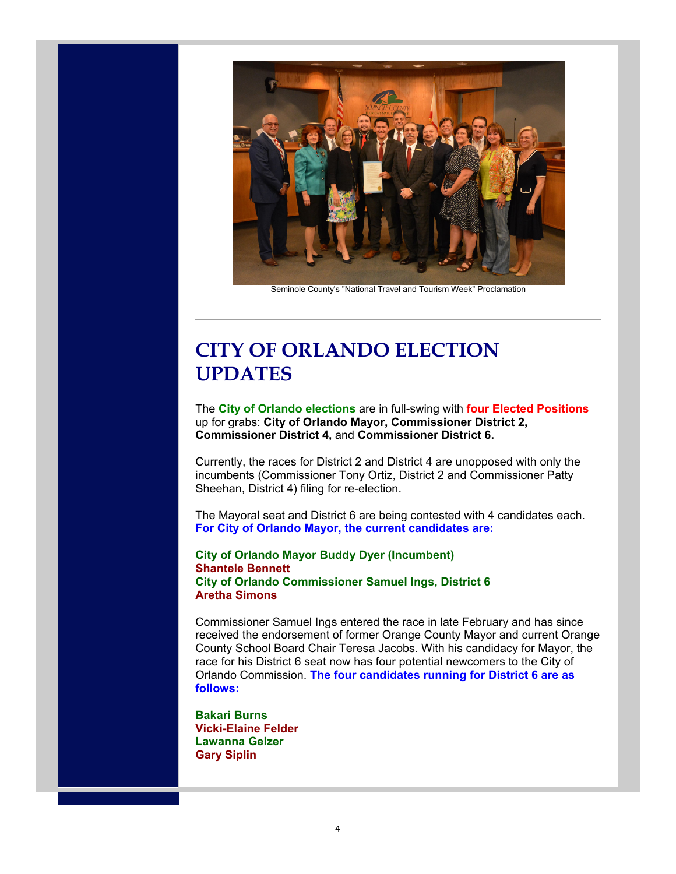

Seminole County's "National Travel and Tourism Week" Proclamation

# **CITY OF ORLANDO ELECTION UPDATES**

The **City of Orlando elections** are in full-swing with **four Elected Positions** up for grabs: **City of Orlando Mayor, Commissioner District 2, Commissioner District 4,** and **Commissioner District 6.**

Currently, the races for District 2 and District 4 are unopposed with only the incumbents (Commissioner Tony Ortiz, District 2 and Commissioner Patty Sheehan, District 4) filing for re-election.

The Mayoral seat and District 6 are being contested with 4 candidates each. **For City of Orlando Mayor, the current candidates are:**

#### **City of Orlando Mayor Buddy Dyer (Incumbent) Shantele Bennett City of Orlando Commissioner Samuel Ings, District 6 Aretha Simons**

Commissioner Samuel Ings entered the race in late February and has since received the endorsement of former Orange County Mayor and current Orange County School Board Chair Teresa Jacobs. With his candidacy for Mayor, the race for his District 6 seat now has four potential newcomers to the City of Orlando Commission. **The four candidates running for District 6 are as follows:**

**Bakari Burns Vicki-Elaine Felder Lawanna Gelzer Gary Siplin**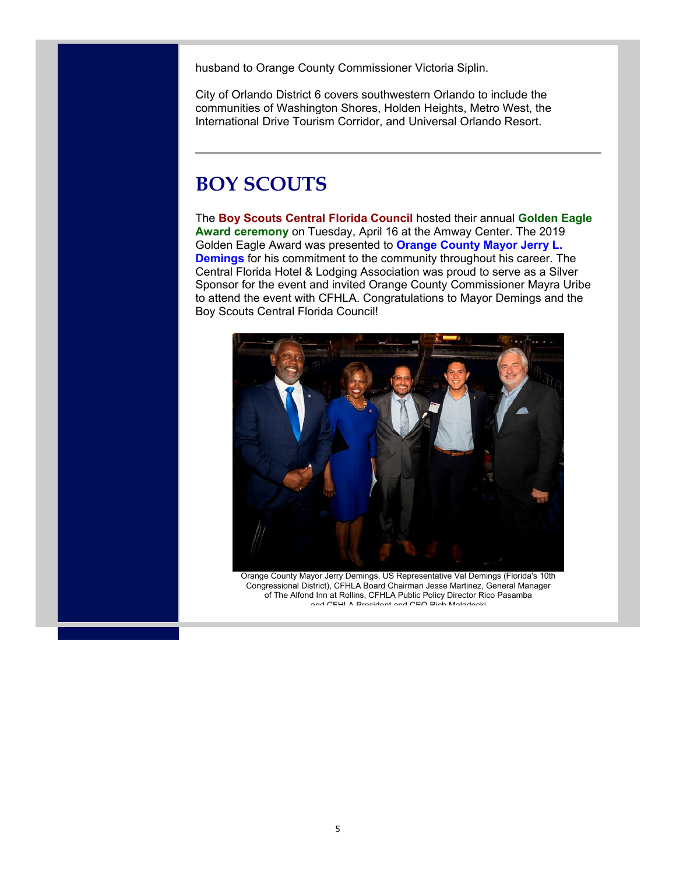husband to Orange County Commissioner Victoria Siplin.

City of Orlando District 6 covers southwestern Orlando to include the communities of Washington Shores, Holden Heights, Metro West, the International Drive Tourism Corridor, and Universal Orlando Resort.

## **BOY SCOUTS**

The **Boy Scouts Central Florida Council** hosted their annual **Golden Eagle Award ceremony** on Tuesday, April 16 at the Amway Center. The 2019 Golden Eagle Award was presented to **Orange County Mayor Jerry L. Demings** for his commitment to the community throughout his career. The Central Florida Hotel & Lodging Association was proud to serve as a Silver Sponsor for the event and invited Orange County Commissioner Mayra Uribe to attend the event with CFHLA. Congratulations to Mayor Demings and the Boy Scouts Central Florida Council!



Orange County Mayor Jerry Demings, US Representative Val Demings (Florida's 10th Congressional District), CFHLA Board Chairman Jesse Martinez, General Manager of The Alfond Inn at Rollins, CFHLA Public Policy Director Rico Pasamba and CFHLA President and CEO Rich Maladecki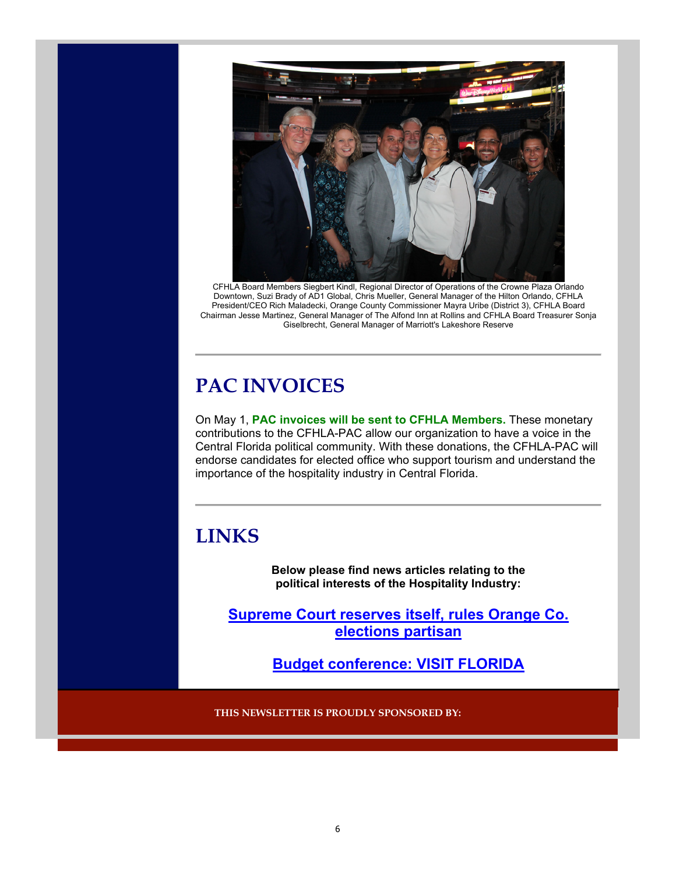

CFHLA Board Members Siegbert Kindl, Regional Director of Operations of the Crowne Plaza Orlando Downtown, Suzi Brady of AD1 Global, Chris Mueller, General Manager of the Hilton Orlando, CFHLA President/CEO Rich Maladecki, Orange County Commissioner Mayra Uribe (District 3), CFHLA Board Chairman Jesse Martinez, General Manager of The Alfond Inn at Rollins and CFHLA Board Treasurer Sonja Giselbrecht, General Manager of Marriott's Lakeshore Reserve

# **PAC INVOICES**

On May 1, **PAC invoices will be sent to CFHLA Members.** These monetary contributions to the CFHLA-PAC allow our organization to have a voice in the Central Florida political community. With these donations, the CFHLA-PAC will endorse candidates for elected office who support tourism and understand the importance of the hospitality industry in Central Florida.

## **LINKS**

**Below please find news articles relating to the political interests of the Hospitality Industry:**

**Supreme Court reserves itself, rules Orange Co. elections partisan**

**Budget conference: VISIT FLORIDA**

**THIS NEWSLETTER IS PROUDLY SPONSORED BY:**